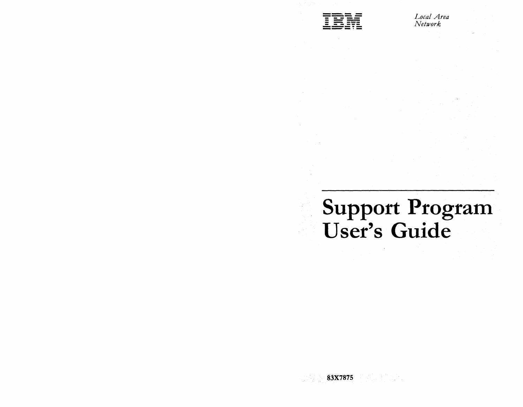

*I..Jocal Area Network* 

# Support Program User's Guide

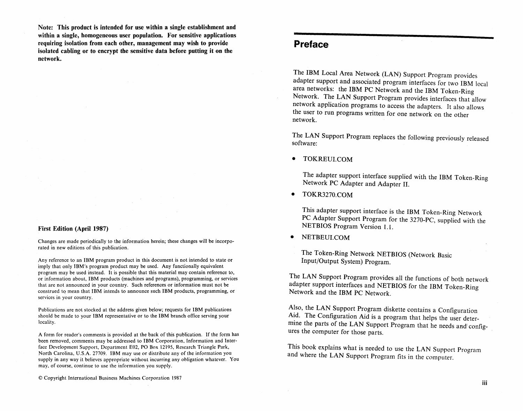Note: This product is intended for use within a single establishment and within a single, homogeneous user population. For sensitive applications requiring isolation from each other, management may wish to provide isolated cabling or to encrypt the sensitive data before putting it on the network.

#### First Edition (April 1987)

Changes are made periodically to the information herein; these changes will be incorporated in new editions of this publication.

Any reference to an IBM program product in this document is not intended to state or imply that only IBM's program product may be used. Any functiona1Jy equivalent program may be used instead. It is possible that this material may contain reference to, or information about, IBM products (machines and programs), programming, or services that are not announced in your country. Such references or information must not be construed to mean that IBM intends to announce such IBM products, programming, or services in your country.

Publications are not stocked at the address given below; requests for IBM publications should be made to your IBM representative or to the IBM branch office serving your locality.

A form for reader's comments is provided at the back of this publication. If the form has been removed, comments may be addressed to IBM Corporation, Information and Interface Development Support, Department E02, PO Box 12195, Research Triangle Park, North Carolina, U.S.A. 27709. IBM may use or distribute any of the information you supply in any way it believes appropriate without incurring any obligation whatever. You may, of course, continue to use the information you supply.

## **Preface**

The IBM Local Area Network (LAN) Support Program provides adapter support and associated program interfaces for two IBM local area networks: the IBM PC Network and the IBM Token-Ring Network. The LAN Support Program provides interfaces that allow network application programs to access the adapters. It also allows the user to run programs written for one network on the other network.

The LAN Support Program replaces the following previously released software:

• TOKREUI.COM

> The adapter support interface supplied with the IBM Token-Ring Network PC Adapter and Adapter II.

• TOKR3270.COM

> This adapter support interface is the IBM Token-Ring Network PC Adapter Support Program for the 3270-PC, supplied with the NETBIOS Program Version 1.1.

• NETBEUI.COM

The Token-Ring Network NETBIOS (Network Basic Input/Output System) Program.

The LAN Support Program provides all the functions of both network adapter support interfaces and NETBIOS for the IBM Token-Ring Network and the IBM PC Network.

Also, the LAN Support Program diskette contains a Configuration Ald. The Configuration Aid is a program that helps the user determine the parts of the LAN Support Program that he needs and' configures the computer for those parts.

This book explains what is needed to use the LAN Support Program and where the LAN Support Program fits in the computer.

© Copyright International Business Machines Corporation 1987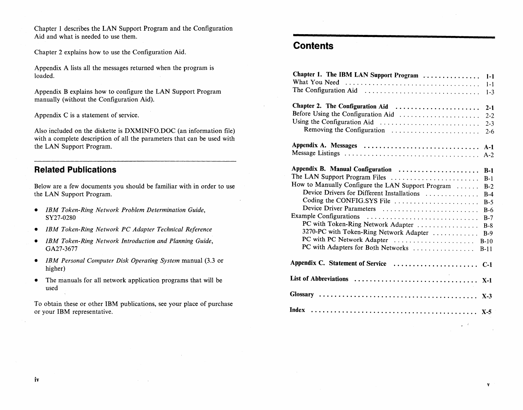Chapter 1 describes the LAN Support Program and the Configuration Aid and what is needed to use them.

Chapter 2 explains how to use the Configuration Aid.

Appendix A lists all the messages returned when the program is loaded.

Appendix B explains how to configure the LAN Support Program manually (without the Configuration Aid).

Appendix C is a statement of service.

Also included on the diskette is DXMINFO.DOC (an information file) with a complete description of all the parameters that can be used with the LAN Support Program.

#### **Related Publications**

Below are a few documents you should be familiar with in order to use the LAN Support Program.

- *IBM Token-Ring Network Problem Determination Guide,*  SY27-0280
- *IBM Token-Ring Network PC Adapter Technical Reference*
- *IBM Token-Ring Network Introduction and Planning Guide,*  GA27-3677
- *IBM Personal Computer Disk Operating System* manual (3.3 or higher)
- The manuals for all network application programs that will be used

To obtain these or other IBM publications, see your place of purchase or your IBM representative.

## **Contents**

| Chapter 1. The IBM LAN Support Program<br>What You Need                                                                                                                                                                                                                                                                                                                                                       | $1 - 1$<br>$1 - 1$<br>$1 - 3$                                                                     |
|---------------------------------------------------------------------------------------------------------------------------------------------------------------------------------------------------------------------------------------------------------------------------------------------------------------------------------------------------------------------------------------------------------------|---------------------------------------------------------------------------------------------------|
| Chapter 2. The Configuration Aid<br>Before Using the Configuration Aid<br>Using the Configuration Aid<br>Removing the Configuration                                                                                                                                                                                                                                                                           | $2 - 1$<br>$2 - 2$<br>$2 - 3$<br>$2 - 6$                                                          |
| Appendix A. Messages                                                                                                                                                                                                                                                                                                                                                                                          | $A-1$<br>$A-2$                                                                                    |
| Appendix B. Manual Configuration<br>The LAN Support Program Files<br>How to Manually Configure the LAN Support Program<br>Device Drivers for Different Installations<br>Coding the CONFIG.SYS File<br>Device Driver Parameters<br>Example Configurations<br>PC with Token-Ring Network Adapter<br>3270-PC with Token-Ring Network Adapter<br>PC with PC Network Adapter<br>PC with Adapters for Both Networks | $B-1$<br>$B-1$<br>$B-2$<br>$B-4$<br>$B-5$<br>$B-6$<br>$B-7$<br>$B-8$<br>$B-9$<br>$B-10$<br>$B-11$ |
|                                                                                                                                                                                                                                                                                                                                                                                                               |                                                                                                   |
|                                                                                                                                                                                                                                                                                                                                                                                                               | $X-1$                                                                                             |
| Index                                                                                                                                                                                                                                                                                                                                                                                                         | $X-3$<br>$X-5$                                                                                    |
|                                                                                                                                                                                                                                                                                                                                                                                                               |                                                                                                   |

v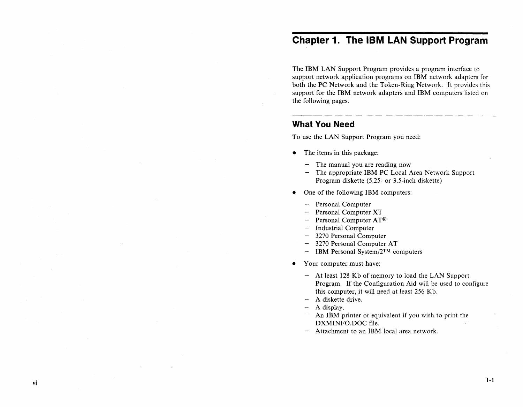# **Chapter 1. The IBM LAN Support Program**

The IBM LAN Support Program provides a program interface to support network application programs on IBM network adapters for both the PC Network and the Token-Ring Network. It provides this support for the IBM network adapters and IBM computers listed on the following pages.

## **What You Need**

To use the LAN Support Program you need:

- The items in this package:
	- $-$  The manual you are reading now
	- The appropriate IBM PC Local Area Network Support Program diskette (5.25- or 3.5-inch diskette)
- One of the following IBM computers:
	- Personal Computer
	- Personal Computer XT
	- Personal Computer AT<sup>®</sup>  $\overline{\phantom{m}}$
	- Industrial Computer
	- 3270 Personal Computer
	- 3270 Personal Computer AT
	- IBM Personal System/2™ computers
- Your computer must have:
	- At least 128 Kb of memory to load the LAN Support Program. If the Configuration Aid will be used to configure this computer, it will need at least 256 Kb.
	- A diskette drive.  $\overline{\phantom{m}}$
	- A display.

vi

- An IBM printer or equivalent if you wish to print the DXMINFO.DOC file.
- Attachment to an IBM local area network.  $\overline{\phantom{m}}$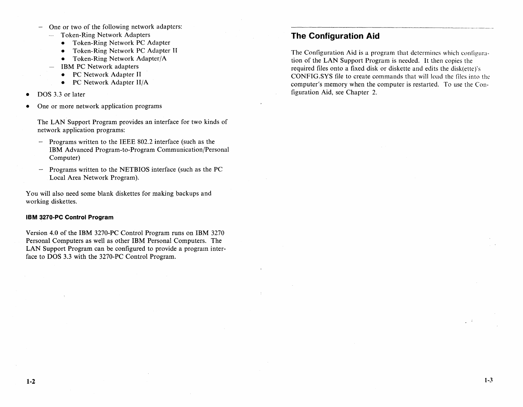- One or two of the following network adapters: Token-Ring Network Adapters  $\sim$ 
	- Token-Ring Network PC Adapter
	- Token-Ring Network PC Adapter II
	- Token-Ring Network Adapter/A
	- IBM PC Network adapters
		- PC Network Adapter II
		- PC Network Adapter II/A
- DOS 3.3 or later
- One or more network application programs

The LAN Support Program provides an interface for two kinds of network application programs:

- Programs written to the IEEE 802.2 interface (such as the  $-$ IBM Advanced Program-to-Program Communication/Personal Computer)
- Programs written to the NETBIOS interface (such as the PC Local Area Network Program).

You will also need some blank diskettes for making backups and working diskettes.

#### **IBM 3270-PC Control Program**

Version 4.0 of the IBM 3270-PC Control Program runs on IBM 3270 Personal Computers as well as other IBM Personal Computers. The LAN Support Program can be configured to provide a program interface to DOS 3.3 with the 3270-PC Control Program.

## **The Configuration Aid**

The Configuration Aid is a program that determines which configuration of the LAN Support Program is needed. It then copies the required files onto a fixed disk or diskette and edits the disk(ette)'s CONFIG.SYS file to create commands that will load the tiles into the computer's memory when the computer is restarted. To use the Configuration Aid, see Chapter 2.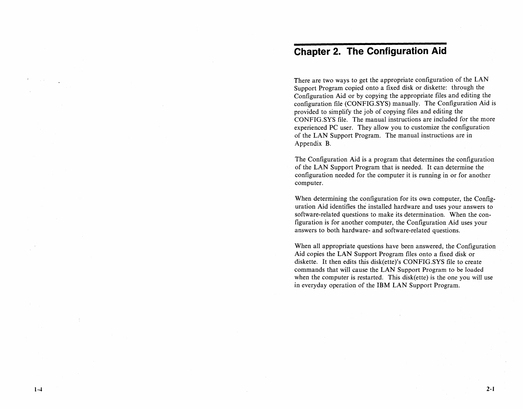# **Chapter 2. The Configuration Aid**

There are two ways to get the appropriate configuration of the LAN Support Program copied onto a fixed disk or diskette: through the Configuration Aid or by copying the appropriate files and editing the configuration file (CONFIG.SYS) manually. The Configuration Aid is provided to simplify the job of copying files and editing the CONFIG.SYS file. The manual instructions are included for the more experienced PC user. They allow you to customize the configuration of the LAN Support Program. The manual instructions are in Appendix B.

The Configuration Aid is a program that determines the configuration of the LAN Support Program that is needed. It can determine the configuration needed for the computer it is running in or for another computer.

When determining the configuration for its own computer, the Configuration Aid identifies the installed hardware and uses your answers to software-related questions to make its determination. When the configuration is for another computer, the Configuration Aid uses your answers to both hardware- and software-related questions.

When all appropriate questions have been answered, the Configuration Aid copies the LAN Support Program files onto a fixed disk or diskette. It then edits this disk(ette)'s CONFIG.SYS file to create commands that will cause the LAN Support Program to be loaded when the computer is restarted. This disk(ette) is the one you will use in everyday operation of the **IBM** LAN Support Program.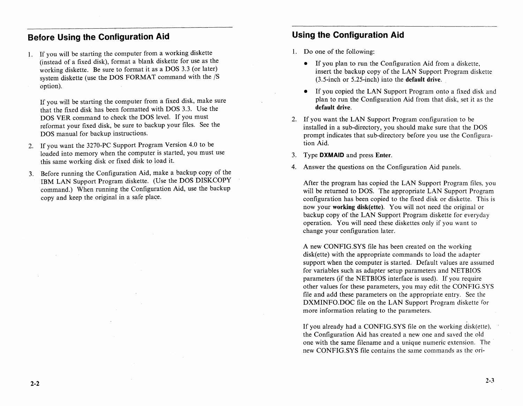## **Before Using the Configuration Aid**

- 1. If you will be starting the computer from a working diskette (instead of a fixed disk), format a blank diskette for use as the working diskette. Be sure to format it as a DOS 3.3 (or later) system diskette (use the DOS FORMAT command with the /S option).
	- If you will be starting the computer from a fixed disk, make sure that the fixed disk has been formatted with DOS 3.3. Use the DOS VER command to check the DOS level. If you must reformat your fixed disk, be sure to backup your files. See the DOS manual for backup instructions.
- 2. If you want the 3270-PC Support Program Version 4.0 to be loaded into memory when the computer is started, you must use this same working disk or fixed disk to load it.
- 3. Before running the Configuration Aid, make a backup copy of the IBM LAN Support Program diskette. (Use the DOS DISKCOPY command.) When running the Configuration Aid, use the backup copy and keep the original in a safe place.

## **Using the Configuration Aid**

- 1. Do one of the following:
	- If you plan to run the Configuration Aid from a diskette, insert the backup copy of the LAN Support Program diskette (3.5-inch or 5.25-inch) into the **default** drive.
	- If you copied the LAN Support Program onto a fixed disk and plan to run the Configuration Aid from that disk, set it as the **default** drive.
- 2. If you want the LAN Support Program configuration to be installed in a sub-directory, you should make sure that the DOS prompt indicates that sub-directory before you use the Configuration Aid.
- 3. Type **DXMAID** and press Enter.
- 4. Answer the questions on the Configuration Aid panels.

After the program has copied the LAN Support Program files, you will be returned to DOS. The appropriate LAN Support Program configuration has been copied to the fixed disk or diskette. This is now your **working** disk(ette). You will not need the original or backup copy of the LAN Support Program diskette for everyday operation. You will need these diskettes only if you want to change your configuration later.

A new CONFIG.SYS file has been created on the working disk(ette) with the appropriate commands to load the adapter support when the computer is started. Default values are assumed for variables such as adapter setup parameters and NETBIOS parameters (if the NETBIOS interface is used). If you require other values for these parameters, you may edit the CONFIG.SYS file and add these parameters on the appropriate entry. See the DXMINFO.DOC file on the LAN Support Program diskette for more information relating to the parameters.

If you already had a CONFIG.SYS file on the working disk(ette), the Configuration Aid has created a new one and saved the old one with the same filename and a unique numeric extension. The· new CONFIG.SYS file contains the same commands as the ori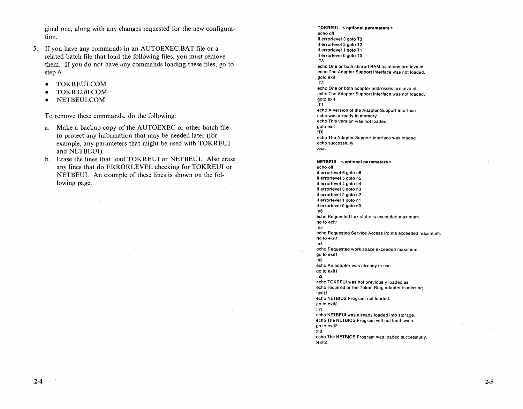ginal one, along with any changes requested for the new configuration.

- 5. If you have any commands in an AUTOEXEC.BAT file or a related batch file that load the following files, you must remove them. If you do not have any commands loading these files, go to step 6.
	- TOKREUI.COM
	- TOKR3270.COM
	- NETBEUl.COM

To remove these commands, do the following:

- a. Make a backup copy of the AUTOEXEC or other batch file to protect any information that may be needed later (for example, any parameters that might be used with TOKREUI and NETBEUI).
- b. Erase the lines that load TOKREUI or NETBEUI. Also erase any lines that do ERRORLEVEL checking for TOKREUI or NETBEUI. An example of these lines is shown on the following page.

TOKREUI < optional parameters> echo off if errorlevel 3 goto T3 if errorlevel 2 golo T2 if errorlevel 1 goto T1 if errorlevel 0 goto TO :T3 echo One or both shared RAM locations are invalid. echo The Adapter Support Interface was not loaded. goto exit :T2 echo One or both adapter addresses are invalid. echo The Adapter Support Interface was not loaded. goto exit :T1 echo A version of the Adapter Support Interface echo was already in memory. echo This version was not loaded. goto exit :TO echo The Adapter Support Interface was loaded echo successfully. :exit NETBEUI < optional parameters> echo off if errorlevel 6 goto n6 if errorlevel 5 goto n5 if errorlevel 4 goto n4 if errorlevel 3 goto n3 if errorlevel 2 goto n2 if errorlevel 1 goto n1 if errorlevel 0 goto nO :n6 echo Requested link stations exceeded maximum. go to exit1 :n5 echo Requested Service Access POints exceeded maximum. go to exit1 :n4 echo Requested work space exceeded maximum. go to exit1 :n3 echo An adapter was already in use. go to exit1 :n2 echo TOKREUI was not previously loaded as echo required or the Token-Ring adapter is missing. :exit1 echo NETBIOS Program not loaded. go to exit2 :n1 echo NETBEUI was already loaded into storage. echo The NETBIOS Program will not load twice. go to exit2 :nO echo The NETBIOS Program was loaded successfully. :exit2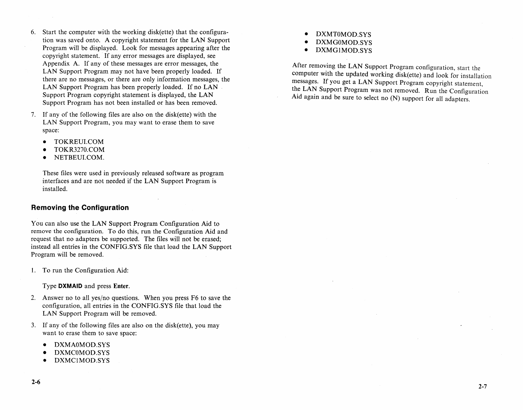- 6. Start the computer with the working disk(ette) that the configuration was saved onto. A copyright statement for the LAN Support Program will be displayed. Look for messages appearing after the copyright statement. If any error messages are displayed, see Appendix A. If any of these messages are error messages, the LAN Support Program may not have been properly loaded. If there are no messages, or there are only information messages, the LAN Support Program has been properly loaded. If no LAN Support Program copyright statement is displayed, the LAN Support Program has not been installed or has been removed.
- 7. If any of the following files are also on the disk(ette) with the LAN Support Program, you may want to erase them to save space:
	- TOKREULCOM
	- TOKR3270.COM
	- NETBEULCOM.

These files were used in previously released software as program interfaces and are not needed if the LAN Support Program is installed.

#### **Removing the Configuration**

You can also use the LAN Support Program Configuration Aid to remove the configuration. To do this, run the Configuration Aid and request that no adapters be supported. The files will not be erased; instead all entries in the CONFIG.SYS file that load the LAN Support Program will be removed.

1. To run the Configuration Aid:

Type **DXMAID** and press Enter.

- 2. Answer no to all yes/no questions. When you press F6 to save the configuration, all entries in the CONFIG.SYS file that load the LAN Support Program will be removed.
- 3. If any of the following files are also on the disk(ette), you may want to erase them to save space:
	- DXMAOMOD.SYS
	- DXMCOMOD.SYS
	- DXMCIMOD.SYS
- DXMTOMOD.SYS
- DXMGOMOD.SYS
- DXMGIMOD.SYS

After removing the LAN Support Program configuration, start the computer with the updated working disk(ette) and look for installation messages. If you get a LAN Support Program copyright statement, the LAN Support Program was not removed. Run the Configuration Aid again and be sure to select no (N) support for all adapters.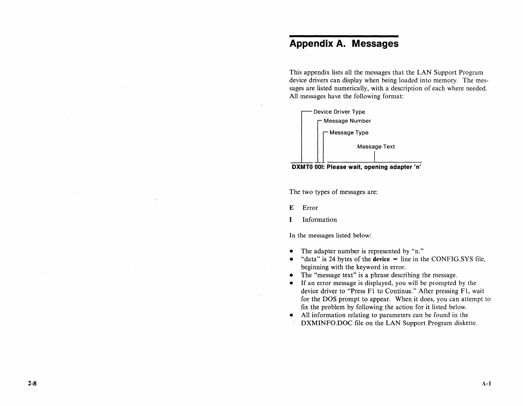# **Appendix A. Messages**

This appendix lists all the messages that the LAN Support Program device drivers can display when being loaded into memory. The messages are listed numerically, with a description of each where needed. All messages have the following format:





The two types of messages are:

E Error

I Information

In the messages listed below:

- The adapter number is represented by "n."
- "data" is 24 bytes of the device = line in the CONFIG.SYS file, beginning with the keyword in error.
- The "message text" is a phrase describing the message.
- If an error message is displayed, you will be prompted by the device driver to "Press Fl to Continue." After pressing Fl, wait for the DOS prompt to appear. When it does, you can attempt to fix the problem by following the action for it listed below.
- All information relating to parameters can be found in the DXMINFO.DOC file on the LAN Support Program diskette.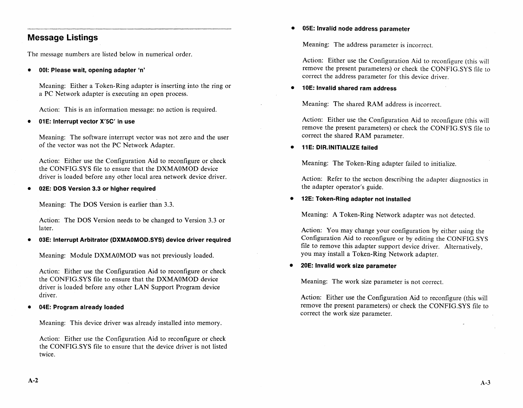## **Message Listings**

The message numbers are listed below in numerical order.

**• 001: Please wait, opening adapter** 'n'

Meaning: Either a Token-Ring adapter is inserting into the ring or a PC Network adapter is executing an open process.

Action: This is an information message: no action is required.

**• 01 E: Interrupt vector X'5C' in use** 

Meaning: The software interrupt vector was not zero and the user of the vector was not the PC Network Adapter.

Action: Either use the Configuration Aid to reconfigure or check the CONFIG.SYS file to ensure that the DXMAOMOD device driver is loaded before any other local area network device driver.

**• 02E: DOS Version 3.3 or higher required** 

Meaning: The DOS Version is earlier than 3.3.

Action: The DOS Version needs to be changed to Version 3.3 or later.

**• 03E: Interrupt Arbitrator (DXMAOMOD.SYS) device driver required** 

Meaning: Module DXMAOMOD was not previously loaded.

Action: Either use the Configuration Aid to reconfigure or check the CONFIG.SYS file to ensure that the DXMAOMOD device driver is loaded before any other LAN Support Program device driver.

**• 04E: Program already loaded** 

Meaning: This device driver was already installed into memory.

Action: Either use the Configuration Aid to reconfigure or check the CONFIG.SYS file to ensure that the device driver is not listed twice.

• **05E: Invalid node address parameter** 

Meaning: The address parameter is incorrect.

Action: Either use the Configuration Aid to reconfigure (this will remove the present parameters) or check the CONFIG.SYS file to correct the address parameter for this device driver.

• **10E: Invalid shared ram address** 

Meaning: The shared RAM address is incorrect.

Action: Either use the Configuration Aid to reconfigure (this will remove the present parameters) or check the CONFIG.SYS file to correct the shared RAM parameter.

**• 11 E: DIR.lNITIALIZE failed** 

Meaning: The Token-Ring adapter failed to initialize.

Action: Refer to the section describing the adapter diagnostics in the adapter operator's guide.

#### **• 12E: Token-Ring adapter not installed**

Meaning: A Token-Ring Network adapter was not detected.

Action: You may change your configuration by either using the Configuration Aid to reconfigure or by editing the CONFIG.SYS file to remove this adapter support device driver. Alternatively, you may install a Token-Ring Network adapter.

#### **• 20E: Invalid work size parameter**

Meaning: The work size parameter is not correct.

Action: Either use the Configuration Aid to reconfigure (this will remove the present parameters) or check the CONFIG.SYS file to correct the work size parameter.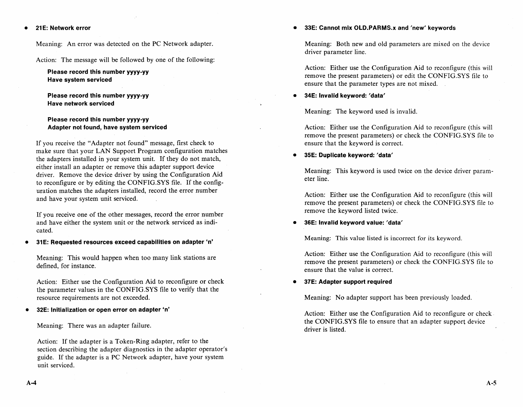**• 21 E: Network error** 

Meaning: An error was detected on the PC Network adapter.

Action: The message will be followed by one of the following:

**Please record this number yyyy-yy Have system serviced** 

**Please record this number yyyy-yy Have network serviced** 

**Please record this number yyyy-yy Adapter not found, have system serviced** 

If you receive the "Adapter not found" message, first check to make sure that your LAN Support Program configuration matches the adapters installed in your system unit. If they do not match, either install an adapter or remove this adapter support device driver. Remove the device driver by using the Configuration Aid to reconfigure or by editing the CONFIG.SYS file. If the configuration matches the adapters installed, record the error number and have your system unit serviced.

If you receive one of the other messages, record the error number and have either the system unit or the network serviced as indicated.

**• 31 E: Requested resources exceed capabilities on adapter 'n'** 

Meaning: This would happen when too many link stations are defined, for instance.

Action: Either use the Configuration Aid to reconfigure or check the parameter values in the CONFIG.SYS file to verify that the resource requirements are not exceeded.

**• 32E: Initialization or open error on adapter 'n'** 

Meaning: There was an adapter failure.

Action: If the adapter is a Token-Ring adapter, refer to the section describing the adapter diagnostics in the adapter operator's guide. If the adapter is a PC Network adapter, have your system unit serviced.

**• 33E: Cannot mix OLD.PARMS.x and 'new' keywords** 

Meaning: Both new and old parameters are mixed on the device driver parameter line.

Action: Either use the Configuration Aid to reconfigure (this will remove the present parameters) or edit the CONFIG.SYS file to ensure that the parameter types are not mixed.

#### **• 34E: Invalid keyword: 'data'**

Meaning: The keyword used is invalid.

Action: Either use the Configuration Aid to reconfigure (this will remove the present parameters) or check the CONFIG.SYS file to ensure that the keyword is correct.

#### **• 35E: Duplicate keyword: 'data'**

Meaning: This keyword is used twice on the device driver parameter line.

Action: Either use the Configuration Aid to reconfigure (this will remove the present parameters) or check the CONFIG.SYS file to remove the keyword listed twice.

#### **• 36E: Invalid keyword value: 'data'**

Meaning: This value listed is incorrect for its keyword.

Action: Either use the Configuration Aid to reconfigure (this will remove the present parameters) or check the CONFIG.SYS file to ensure that the value is correct.

#### **• 37E: Adapter support required**

Meaning: No adapter support has been previously loaded.

Action: Either use the Configuration Aid to reconfigure or check. the CONFIG.SYS file to ensure that an adapter support device driver is listed.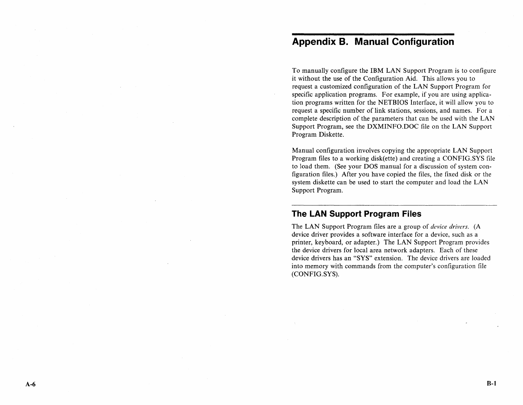# **Appendix B. Manual Configuration**

To manually configure the IBM LAN Support Program is to configure it without the use of the Configuration Aid. This allows you to request a customized configuration of the LAN Support Program for specific application programs. For example, if you are using application programs written for the NETBIOS Interface, it will allow you to request a specific number of link stations, sessions, and names. For a complete description of the parameters that can be used with the LAN Support Program, see the DXMINFO.DOC file on the LAN Support Program Diskette.

Manual configuration involves copying the appropriate LAN Support Program files to a working disk(ette) and creating a CONFIG.SYS file to load them. (See your DOS manual for a discussion of system configuration files.) After you have copied the files, the fixed disk or the system diskette can be used to start the computer and load the LAN Support Program.

## **The LAN Support Program Files**

The LAN Support Program files are a group of *device drivers.* (A device driver provides a software interface for a device, such as a printer, keyboard, or adapter.) The LAN Support Program provides the device drivers for local area network adapters. Each of these device drivers has an "SYS" extension. The device drivers are loaded into memory with commands from the computer's configuration file (CONFIG.SYS).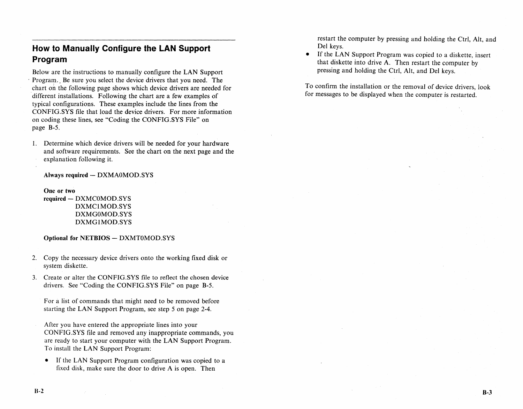## **How to Manually Configure the LAN Support Program**

Below are the instructions to manually configure the LAN Support Program. Be sure you select the device drivers that you need. The ,chart on the following page shows which device drivers are needed for different installations. Following the chart are a few examples of typical configurations. These examples include the lines from the CONFIG.SYS file that load the device drivers. For more information on coding these lines, see "Coding the CONFIG.SYS File" on page B-5.

1. Determine which device drivers will be needed for your hardware and software requirements. See the chart on the next page and the explanation following it.

#### Always required - DXMA0MOD.SYS

One or two required - DXMC0MOD.SYS DXMCIMOD.SYS DXMGOMOD.SYS DXMGIMOD.SYS

#### Optional for NETBIOS - DXMT0MOD.SYS

- 2. Copy the necessary device drivers onto the working fixed disk or system diskette.
- 3. Create or alter the CONFIG.SYS file to reflect the chosen device drivers. See "Coding the CONFIG.SYS File" on page B-5.

For a list of commands that might need to be removed before starting the LAN Support Program, see step 5 on page 2-4.

- After you have entered the appropriate lines into your CONFIG.SYS file and removed any inappropriate commands, you are ready to start your computer with the LAN Support Program. To install the LAN Support Program:
- If the LAN Support Program configuration was copied to a fixed disk, make sure the door to drive A is open. Then

restart the computer by pressing and holding the Ctrl, Alt, and Del keys.

• If the LAN Support Program was copied to a diskette, insert that diskette into drive A. Then restart the computer by pressing and holding the Ctrl, Alt, and Del keys.

To confirm the installation or the removal of device drivers, look for messages to be displayed when the computer is restarted.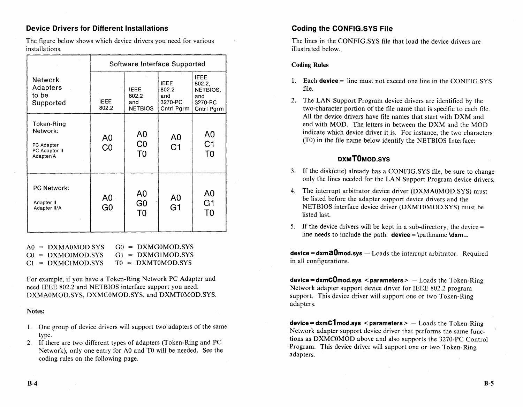#### Device Drivers for Different Installations

The figure below shows which device drivers you need for various installations.

|                                                                    | Software Interface Supported     |                                                    |                                                      |                                                                   |
|--------------------------------------------------------------------|----------------------------------|----------------------------------------------------|------------------------------------------------------|-------------------------------------------------------------------|
| <b>Network</b><br>Adapters<br>to be<br>Supported                   | <b>IFFE</b><br>802.2             | <b>IEEE</b><br>802.2<br>and<br><b>NETBIOS</b>      | <b>IFFF</b><br>802.2<br>and<br>3270-PC<br>Cntrl Pgrm | <b>IEEE</b><br>802.2.<br>NETBIOS.<br>and<br>3270-PC<br>Cntrl Pgrm |
| Token-Ring<br>Network:<br>PC Adapter<br>PC Adapter II<br>Adapter/A | A <sub>0</sub><br>CO             | A <sub>0</sub><br>CO<br>T <sub>0</sub>             | A <sub>0</sub><br>C <sub>1</sub>                     | A <sub>0</sub><br>C <sub>1</sub><br>T <sub>0</sub>                |
| <b>PC Network:</b><br>Adapter II<br>Adapter II/A                   | A <sub>0</sub><br>G <sub>0</sub> | A <sub>0</sub><br>G <sub>0</sub><br>T <sub>0</sub> | A0<br>G <sub>1</sub>                                 | A <sub>0</sub><br>G <sub>1</sub><br>T0                            |

|  | $AO = DXMA0MOD$ SYS | $G0 = DXMG0MOD.SYS$ |
|--|---------------------|---------------------|
|  | $CO = DXMCOMOD.SYS$ | $GI = DXMGIMOD.SYS$ |
|  | $Cl = DXMLIMOD.SYS$ | $TO = DXMT0MOD.SYS$ |

For example, if you have a Token-Ring Network PC Adapter and need IEEE 802.2 and NETBIOS interface support you need: DXMAOMOD.SYS, DXMCOMOD.SYS, and DXMTOMOD.SYS.

#### Notes:

- 1. One group of device drivers will support two adapters of the same type.
- 2. If there are two different types of adapters (Token-Ring and PC Network), only one entry for AO and TO will be needed. See the coding rules on the following page.

## Coding the CONFIG.5YS File

The lines in the CONFIG.SYS file that load the device drivers are illustrated below.

#### Coding Rules

- 1. Each **device** = line must not exceed one line in the CONFIG.SYS file.
- 2. The LAN Support Program device drivers are identified by the two-character portion of the file name that is specific to each file. All the device drivers have file names that start with DXM and end with MOD. The letters in between the DXM and the MOD indicate which device driver it is. For instance, the two characters (TO) in the file name below identify the NETBIOS Interface:

## DXMTOMOD.SYS

- 3. If the disk(ette) already has a CONFIG.SYS file, be sure to change only the lines needed for the LAN Support Program device drivers.
- 4. The interrupt arbitrator device driver (DXMAOMOD.SYS) must be listed before the adapter support device drivers and the NETBIOS interface device driver (DXMTOMOD.SYS) must be listed last.
- 5. If the device drivers will be kept in a sub-directory, the device  $=$ line needs to include the path:  $\text{device} = \text{pathname } \text{d} \text{xm}$ ...

**device = dxma0mod.sys**  $-$  Loads the interrupt arbitrator. Required in all configurations.

 $\text{device} = \text{dxmClmod.sys}$  < parameters > - Loads the Token-Ring Network adapter support device driver for IEEE 802.2 program support. This device driver will support one or two Token-Ring adapters.

 $\text{device} = \text{d}\text{xm}$ C $\text{1}$  mod.sys < parameters >  $-$  Loads the Token-Ring Network adapter support device driver that performs the same functions as DXMCOMOD above and also supports the 3270-PC Control Program. This device driver will support one or two Token-Ring adapters.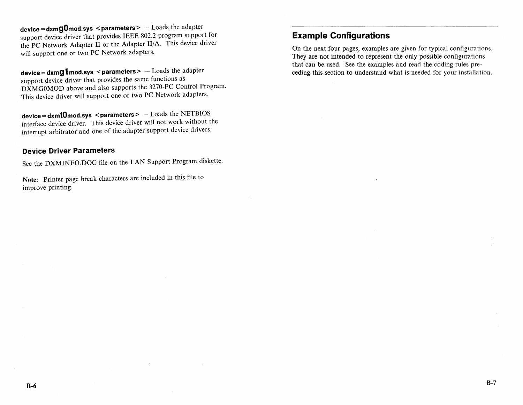**device = dxmgOmod.sys < parameters>** -- Loads the adapter support device driver that provides IEEE 802.2 program support for the PC Network Adapter II or the Adapter II/A. This device driver will support one or two PC Network adapters.

**device = dxmg1 mod.sys < parameters>** - Loads the adapter support device driver that provides the same functions as DXMGOMOD above and also supports the 3270-PC Control Program. This device driver will support one or two PC Network adapters.

**device = dxmlOmod.sys < parameters>** - Loads the NETBIOS interface device driver. This device driver will not work without the interrupt arbitrator and one of the adapter support device drivers.

#### **Device Driver Parameters**

See the DXMINFO.DOC file on the LAN Support Program diskette.

Note: Printer page break characters are included in this file to improve printing.

## **Example Configurations**

On the next four pages, examples are given for typical configurations. They are not intended to represent the only possible configurations that can be used. See the examples and read the coding rules preceding this section to understand what is needed for your installation.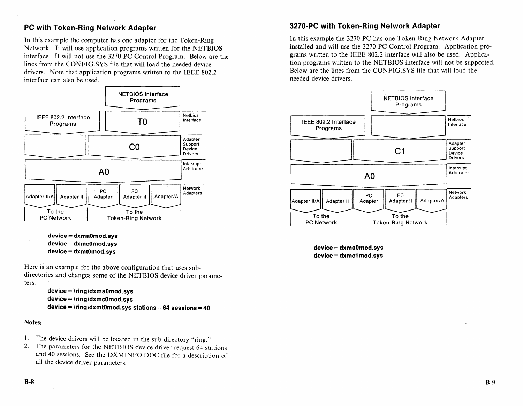## **PC with Token-Ring Network Adapter**

In this example the computer has one adapter for the Token-Ring Network. It will use application programs written for the NETBIOS interface. It will not use the 3270-PC Control Program. Below are the lines from the CONFIG.SYS file that will load the needed device drivers. Note that application programs written to the IEEE 802.2 interface can also be used.



**device = dxmaOmod.sys device = dxmcOmod.sys device = dxmtOmod.sys** 

Here is an example for the above configuration that uses subdirectories and changes some of the NETBIOS device driver parameters.

```
device = \ring\dxmaOmod.sys 
device = \ring\dxmcOmod.sys 
device = \ring\dxmtOmod.sys stations = 64 sessions = 40
```
#### Notes:

- 1. The device drivers will be located in the sub-directory "ring."
- 2. The parameters for the NETBIOS device driver request 64 stations and 40 sessions. See the DXMINFO.DOC file fora description of all the device driver parameters.

#### **3270-PC with Token-Ring Network Adapter**

In this example the 3270-PC has one Token-Ring Network Adapter installed and will use the 3270-PC Control Program. Application programs written to the IEEE 802.2 interface will also be used. Application programs written to the NETBIOS interface wiil not be supported. Below are the lines from the CONFIG.SYS file that will load the needed device drivers.



**device = dxmaOmod.sys device = dxmc1 mod.sys** 

 $\omega = k$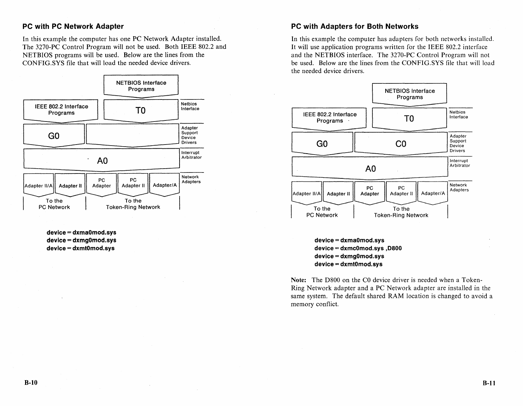#### **PC with PC Network Adapter**

In this example the computer has one PC Network Adapter installed. The 3270-PC Control Program will not be used. Both IEEE 802.2 and NETBIOS programs will be used. Below are the lines from the CONFIG.SYS file that will load the needed device drivers.



**device = dxmaOmod.sys device = dxmgOmod.sys device = dxmtOmod.sys** 

#### **PC with Adapters for Both Networks**

In this example the computer has adapters for both networks installed. It will use application programs written for the IEEE 802.2 interface and the NETBIOS interface. The 3270-PC Control Program will not be used. Below are the lines from the CONFIG.SYS file that will load the needed device drivers.



**device = dxmaOmod.sys device = dxmcOmod.sys ,0800 device = dxmgOmod.sys device = dxmtOmod.sys** 

Note: The D800 on the CO device driver is needed when a Token-Ring Network adapter and a PC Network adapter are installed in the same system. The default shared RAM location is changed to avoid a memory conflict.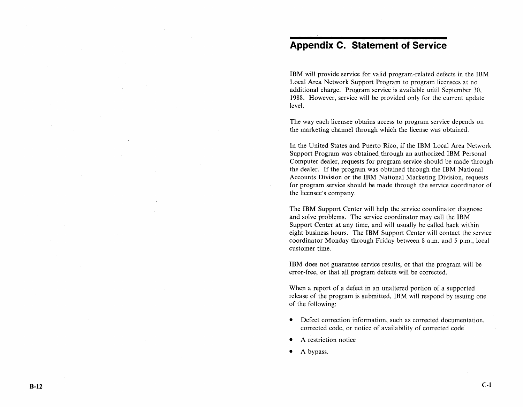# **Appendix C. Statement of Service**

IBM will provide service for valid program-related defects in the IBM Local Area Network Support Program to program licensees at no additional charge. Program service is available uritil September 30, 1988. However, service will be provided only for the current update level.

The way each licensee obtains access to program service depends on the marketing channel through which the license was obtained.

In the United States and Puerto *Rico,* if the IBM Local Area Network Support Program was obtained through an authorized IBM Personal Computer dealer, requests for program service should be made through the dealer. If the program was obtained through the IBM National Accounts Division or the IBM National Marketing Division, requests for program service should be made through the service coordinator of the licensee's company.

The IBM Support Center will help the service coordinator diagnose and solve problems. The service coordinator may call the IBM Support Center at any time, and will usually be called back within eight business hours. The IBM Support Center will contact the service coordinator Monday through Friday between 8 a.m. and 5 p.m., local customer time.

IBM does not guarantee service results, or that the program will be error-free, or that all program defects will be corrected.

When a report of a defect in an unaltered portion of a supported release of the program is submitted, IBM will respond by issuing one of the following:

- Defect correction information, such as corrected documentation, corrected code, or notice of availability of corrected code
- A restriction notice
- A bypass.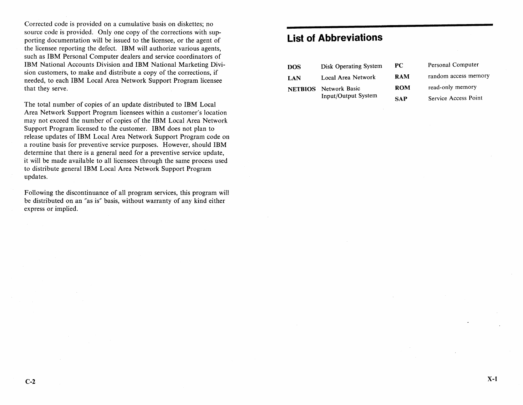Corrected code is provided on a cumulative basis on diskettes; no source code is provided. Only one copy of the corrections with supporting documentation will be issued to the licensee, or the agent of the licensee reporting the defect. IBM will authorize various agents, such as IBM Personal Computer dealers and service coordinators of IBM National Accounts Division and IBM National Marketing Division customers, to make and distribute a copy of the corrections, if needed, to each IBM Local Area Network Support Program licensee that they serve.

The total number of copies of an update distributed to IBM Local Area Network Support Program licensees within a customer's location may not exceed the number of copies of the IBM Local Area Network Support Program licensed to the customer. IBM does not plan to release updates of IBM Local Area Network Support Program code on a routine basis for preventive service purposes. However, should IBM determine that there is a general need for a preventive service update, it will be made available to all licensees through the same process used to distribute general IBM Local Area Network Support Program updates.

Following the discontinuance of all program services, this program will be distributed on an "as is" basis, without warranty of any kind either express or implied.

# **List of Abbreviations**

| <b>DOS</b> | Disk Operating System        | PC.        | Personal Computer    |
|------------|------------------------------|------------|----------------------|
| LAN        | Local Area Network           | <b>RAM</b> | random access memory |
|            | <b>NETBIOS</b> Network Basic | ROM        | read-only memory     |
|            | Input/Output System          | <b>SAP</b> | Service Access Point |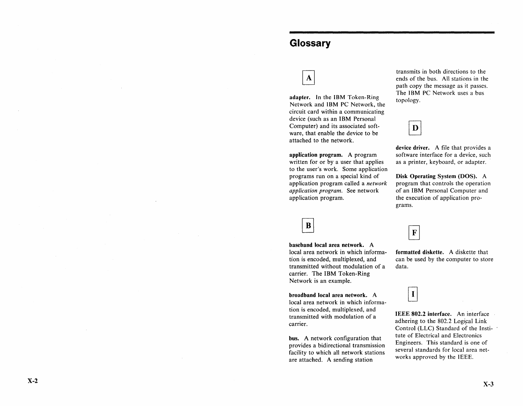# **Glossary**

# $\mathbf{A}$

adapter. In the IBM Token-Ring Network and IBM PC Network, the circuit card within a communicating device (such as an IBM Personal Computer) and its associated software, that enable the device to be attached to the network.

application program. A program written for or by a user that applies to the user's work. Some application programs run on a special kind of application program called a *network application program.* See network application program.

B

baseband local area network. A local area network in which information is encoded, multiplexed, and transmitted without modulation of a carrier. The IBM Token-Ring Network is an example.

broadband local area network. A local area network in which information is encoded, multiplexed, and transmitted with modulation of a carrier.

bus. A network configuration that provides a bidirectional transmission facility to which all network stations are attached. A sending station

transmits in both directions to the ends of the bus. All stations in the path copy the message as it passes. The IBM PC Network uses a bus topology.



device driver. A file that provides a software interface for a device, such as a printer, keyboard, or adapter.

Disk Operating System (DOS). A program that controls the operation of an IBM Personal Computer and the execution of application programs.

 $\mathbf F$ 

formatted diskette. A diskette that can be used by the computer to store data.

 $\mathbf I$ 

IEEE 802.2 interface. An interface adhering to the 802.2 Logical Link Control (LLC) Standard of the Institute of Electrical and Electronics Engineers. This standard is one of several standards for local area networks approved by the IEEE.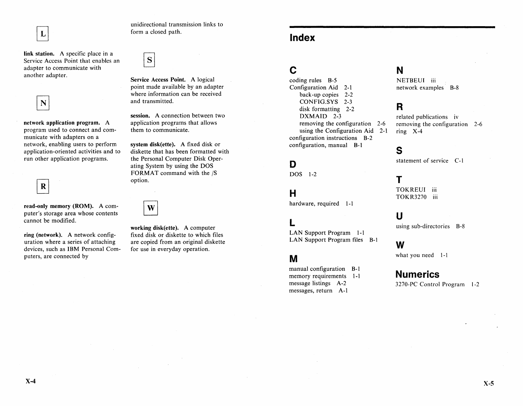unidirectional transmission links to form a closed path.

link station. A specific place in a Service Access Point that enables an adapter to communicate with another adapter.



 $\mathbf{L}$ 

network application program. A program used to connect and communicate with adapters on a network, enabling users to perform application-oriented activities and to run other application programs.

 $\mathbf R$ 

read-only memory (ROM). A computer's storage area whose contents cannot be modified.

ring (network). A network configuration where a series of attaching devices, such as IBM Personal Computers, are connected by

S

Service Access Point. A logical point made available by an adapter where information can be received and transmitted.

session. A connection between two application programs that allows them to communicate.

system disk(ette). A fixed disk or diskette that has been formatted with the Personal Computer Disk Operating System by using the DOS FORMAT command with the *IS*  option.

W

working disk(ette). A computer fixed disk or diskette to which files are copied from an original diskette for use in everyday operation.

# c

coding rules B-5 Configuration Aid 2-1 back-up copies 2-2 CONFIG.SYS 2-3 disk formatting 2-2 DXMAID 2-3 removing the configuration 2-6 using the Configuration Aid 2-1 configuration instructions B-2 configuration, manual B-1

## D

DOS 1-2

## H

hardware, required 1-1

# L

LAN Support Program 1-1 LAN Support Program files B-1

## M

manual configuration B-1 memory requirements 1-1 message listings A-2 messages, return A-I

# N

NETBEUI iii network examples B-8

# R

related publications iv removing the configuration 2-6 ring X-4

## s

statement of service C-l

# T

TOKREUI iii TOKR3270 iii

## u

using sub-directories B-8

## w

what you need 1-1

## **Numerics**

3270-PC Control Program 1-2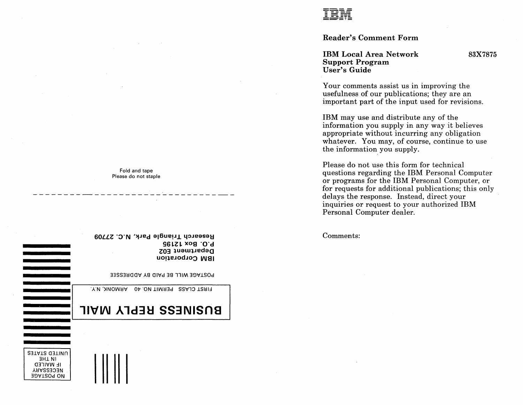Reader's Comment Form

IBM Local Area Network Support Program User's Guide

83X7875

Your comments assist us in improving the usefulness of our publications; they are an important part of the input used for revisions.

IBM may use and distribute any of the information you supply in any way it believes appropriate without incurring any obligation whatever. You may, of course, continue to use the information you supply.

Please do not use this form for technical questions regarding the IBM Personal Computer or programs for the IBM Personal Computer, or for requests for additional publications; this only delays the response. Instead, direct your inquiries or request to your authorized IBM Personal Computer dealer.

Comments:

Fold and tape Please do not staple

Research Triangle Park, N.C. 27709 96lZl XOS 'O'd Department E02 IBM Corporation

POSTAGE WILL BE PAID BY ADDRESSEE

FIRST CLASS PERMIT NO. 40 ARMONK, N.Y.

# BNSINE22 BEbFA WVIF

UNITED STATES 3H1 NI **IF MAILED NECESSARY** 38'1lS0d ON